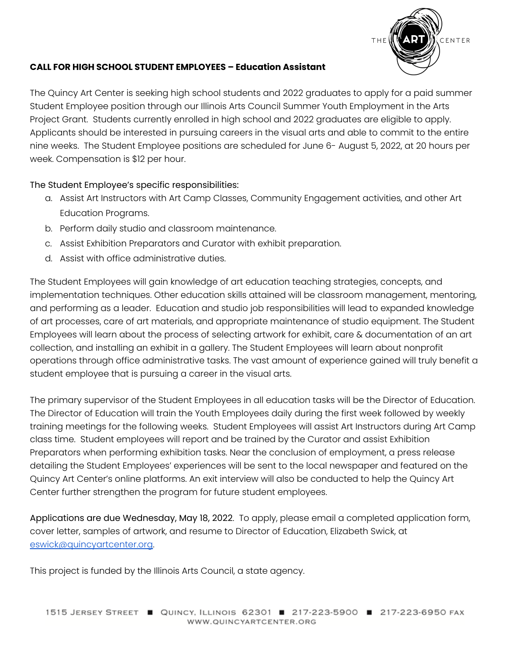

### **CALL FOR HIGH SCHOOL STUDENT EMPLOYEES – Education Assistant**

The Quincy Art Center is seeking high school students and 2022 graduates to apply for a paid summer Student Employee position through our Illinois Arts Council Summer Youth Employment in the Arts Project Grant. Students currently enrolled in high school and 2022 graduates are eligible to apply. Applicants should be interested in pursuing careers in the visual arts and able to commit to the entire nine weeks. The Student Employee positions are scheduled for June 6- August 5, 2022, at 20 hours per week. Compensation is \$12 per hour.

### The Student Employee's specific responsibilities:

- a. Assist Art Instructors with Art Camp Classes, Community Engagement activities, and other Art Education Programs.
- b. Perform daily studio and classroom maintenance.
- c. Assist Exhibition Preparators and Curator with exhibit preparation.
- d. Assist with office administrative duties.

The Student Employees will gain knowledge of art education teaching strategies, concepts, and implementation techniques. Other education skills attained will be classroom management, mentoring, and performing as a leader. Education and studio job responsibilities will lead to expanded knowledge of art processes, care of art materials, and appropriate maintenance of studio equipment. The Student Employees will learn about the process of selecting artwork for exhibit, care & documentation of an art collection, and installing an exhibit in a gallery. The Student Employees will learn about nonprofit operations through office administrative tasks. The vast amount of experience gained will truly benefit a student employee that is pursuing a career in the visual arts.

The primary supervisor of the Student Employees in all education tasks will be the Director of Education. The Director of Education will train the Youth Employees daily during the first week followed by weekly training meetings for the following weeks. Student Employees will assist Art Instructors during Art Camp class time. Student employees will report and be trained by the Curator and assist Exhibition Preparators when performing exhibition tasks. Near the conclusion of employment, a press release detailing the Student Employees' experiences will be sent to the local newspaper and featured on the Quincy Art Center's online platforms. An exit interview will also be conducted to help the Quincy Art Center further strengthen the program for future student employees.

Applications are due Wednesday, May 18, 2022. To apply, please email a completed application form, cover letter, samples of artwork, and resume to Director of Education, Elizabeth Swick, at [eswick@quincyartcenter.org.](mailto:eswick@quincyartcenter.org)

This project is funded by the Illinois Arts Council, a state agency.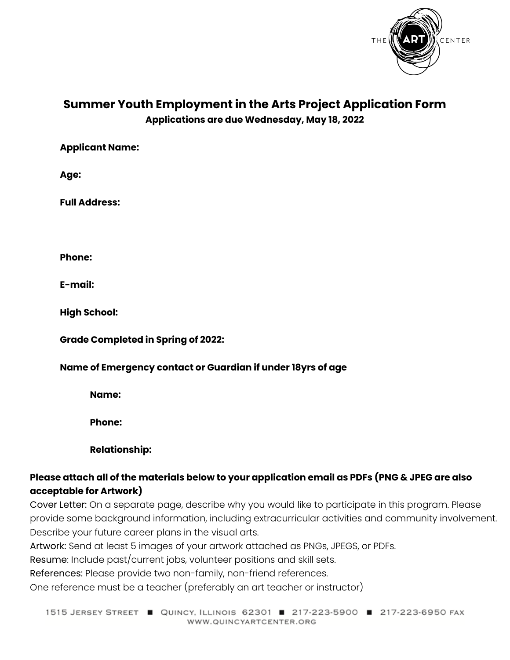

# **Summer Youth Employment in the Arts Project Application Form Applications are due Wednesday, May 18, 2022**

**Applicant Name:**

**Age:**

**Full Address:**

**Phone:**

**E-mail:**

**High School:**

**Grade Completed in Spring of 2022:**

### **Name of Emergency contact or Guardian if under 18yrs of age**

**Name:**

**Phone:**

**Relationship:**

### **Please attach all of the materials below to your application email as PDFs (PNG & JPEG are also acceptable for Artwork)**

Cover Letter: On a separate page, describe why you would like to participate in this program. Please provide some background information, including extracurricular activities and community involvement. Describe your future career plans in the visual arts.

Artwork: Send at least 5 images of your artwork attached as PNGs, JPEGS, or PDFs.

Resume: Include past/current jobs, volunteer positions and skill sets.

References: Please provide two non-family, non-friend references.

One reference must be a teacher (preferably an art teacher or instructor)